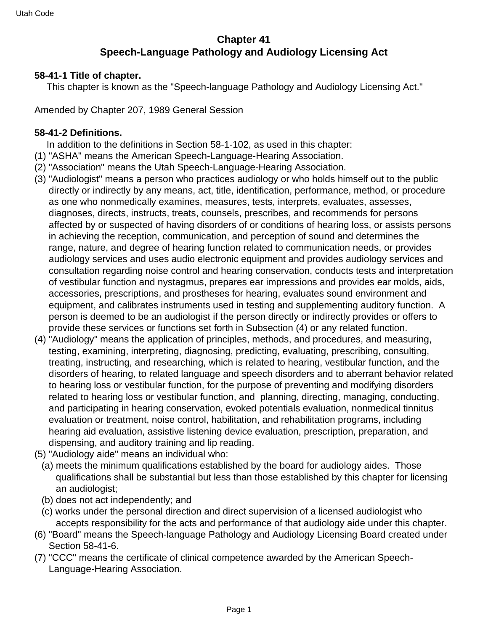# **Chapter 41 Speech-Language Pathology and Audiology Licensing Act**

#### **58-41-1 Title of chapter.**

This chapter is known as the "Speech-language Pathology and Audiology Licensing Act."

Amended by Chapter 207, 1989 General Session

#### **58-41-2 Definitions.**

In addition to the definitions in Section 58-1-102, as used in this chapter:

- (1) "ASHA" means the American Speech-Language-Hearing Association.
- (2) "Association" means the Utah Speech-Language-Hearing Association.
- (3) "Audiologist" means a person who practices audiology or who holds himself out to the public directly or indirectly by any means, act, title, identification, performance, method, or procedure as one who nonmedically examines, measures, tests, interprets, evaluates, assesses, diagnoses, directs, instructs, treats, counsels, prescribes, and recommends for persons affected by or suspected of having disorders of or conditions of hearing loss, or assists persons in achieving the reception, communication, and perception of sound and determines the range, nature, and degree of hearing function related to communication needs, or provides audiology services and uses audio electronic equipment and provides audiology services and consultation regarding noise control and hearing conservation, conducts tests and interpretation of vestibular function and nystagmus, prepares ear impressions and provides ear molds, aids, accessories, prescriptions, and prostheses for hearing, evaluates sound environment and equipment, and calibrates instruments used in testing and supplementing auditory function. A person is deemed to be an audiologist if the person directly or indirectly provides or offers to provide these services or functions set forth in Subsection (4) or any related function.
- (4) "Audiology" means the application of principles, methods, and procedures, and measuring, testing, examining, interpreting, diagnosing, predicting, evaluating, prescribing, consulting, treating, instructing, and researching, which is related to hearing, vestibular function, and the disorders of hearing, to related language and speech disorders and to aberrant behavior related to hearing loss or vestibular function, for the purpose of preventing and modifying disorders related to hearing loss or vestibular function, and planning, directing, managing, conducting, and participating in hearing conservation, evoked potentials evaluation, nonmedical tinnitus evaluation or treatment, noise control, habilitation, and rehabilitation programs, including hearing aid evaluation, assistive listening device evaluation, prescription, preparation, and dispensing, and auditory training and lip reading.
- (5) "Audiology aide" means an individual who:
	- (a) meets the minimum qualifications established by the board for audiology aides. Those qualifications shall be substantial but less than those established by this chapter for licensing an audiologist;
	- (b) does not act independently; and
	- (c) works under the personal direction and direct supervision of a licensed audiologist who accepts responsibility for the acts and performance of that audiology aide under this chapter.
- (6) "Board" means the Speech-language Pathology and Audiology Licensing Board created under Section 58-41-6.
- (7) "CCC" means the certificate of clinical competence awarded by the American Speech-Language-Hearing Association.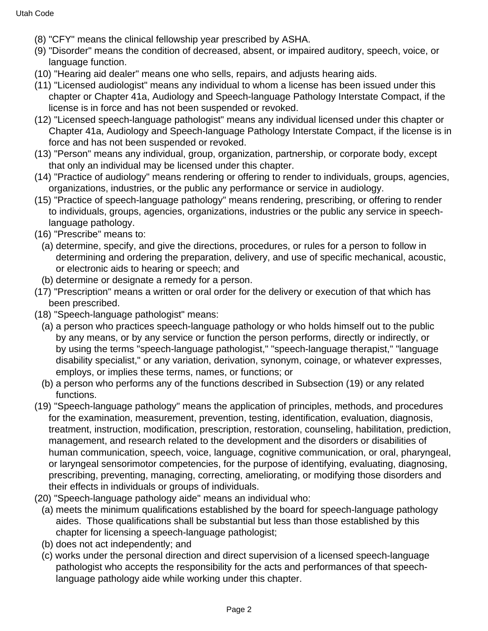- (8) "CFY" means the clinical fellowship year prescribed by ASHA.
- (9) "Disorder" means the condition of decreased, absent, or impaired auditory, speech, voice, or language function.
- (10) "Hearing aid dealer" means one who sells, repairs, and adjusts hearing aids.
- (11) "Licensed audiologist" means any individual to whom a license has been issued under this chapter or Chapter 41a, Audiology and Speech-language Pathology Interstate Compact, if the license is in force and has not been suspended or revoked.
- (12) "Licensed speech-language pathologist" means any individual licensed under this chapter or Chapter 41a, Audiology and Speech-language Pathology Interstate Compact, if the license is in force and has not been suspended or revoked.
- (13) "Person" means any individual, group, organization, partnership, or corporate body, except that only an individual may be licensed under this chapter.
- (14) "Practice of audiology" means rendering or offering to render to individuals, groups, agencies, organizations, industries, or the public any performance or service in audiology.
- (15) "Practice of speech-language pathology" means rendering, prescribing, or offering to render to individuals, groups, agencies, organizations, industries or the public any service in speechlanguage pathology.
- (16) "Prescribe" means to:
	- (a) determine, specify, and give the directions, procedures, or rules for a person to follow in determining and ordering the preparation, delivery, and use of specific mechanical, acoustic, or electronic aids to hearing or speech; and
	- (b) determine or designate a remedy for a person.
- (17) "Prescription" means a written or oral order for the delivery or execution of that which has been prescribed.
- (18) "Speech-language pathologist" means:
	- (a) a person who practices speech-language pathology or who holds himself out to the public by any means, or by any service or function the person performs, directly or indirectly, or by using the terms "speech-language pathologist," "speech-language therapist," "language disability specialist," or any variation, derivation, synonym, coinage, or whatever expresses, employs, or implies these terms, names, or functions; or
	- (b) a person who performs any of the functions described in Subsection (19) or any related functions.
- (19) "Speech-language pathology" means the application of principles, methods, and procedures for the examination, measurement, prevention, testing, identification, evaluation, diagnosis, treatment, instruction, modification, prescription, restoration, counseling, habilitation, prediction, management, and research related to the development and the disorders or disabilities of human communication, speech, voice, language, cognitive communication, or oral, pharyngeal, or laryngeal sensorimotor competencies, for the purpose of identifying, evaluating, diagnosing, prescribing, preventing, managing, correcting, ameliorating, or modifying those disorders and their effects in individuals or groups of individuals.
- (20) "Speech-language pathology aide" means an individual who:
	- (a) meets the minimum qualifications established by the board for speech-language pathology aides. Those qualifications shall be substantial but less than those established by this chapter for licensing a speech-language pathologist;
	- (b) does not act independently; and
	- (c) works under the personal direction and direct supervision of a licensed speech-language pathologist who accepts the responsibility for the acts and performances of that speechlanguage pathology aide while working under this chapter.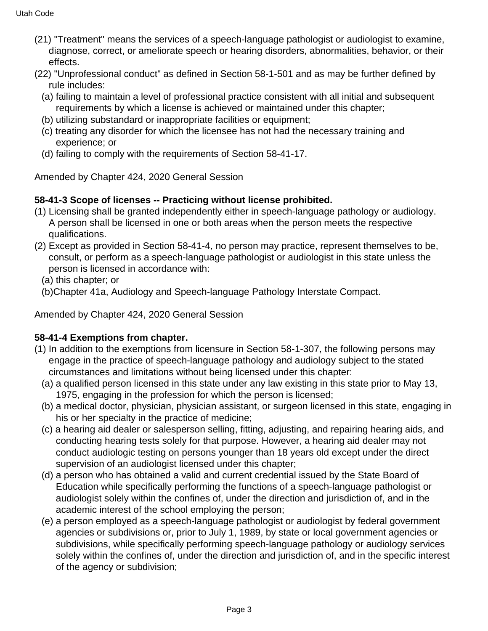- (21) "Treatment" means the services of a speech-language pathologist or audiologist to examine, diagnose, correct, or ameliorate speech or hearing disorders, abnormalities, behavior, or their effects.
- (22) "Unprofessional conduct" as defined in Section 58-1-501 and as may be further defined by rule includes:
	- (a) failing to maintain a level of professional practice consistent with all initial and subsequent requirements by which a license is achieved or maintained under this chapter;
	- (b) utilizing substandard or inappropriate facilities or equipment;
	- (c) treating any disorder for which the licensee has not had the necessary training and experience; or
	- (d) failing to comply with the requirements of Section 58-41-17.

Amended by Chapter 424, 2020 General Session

# **58-41-3 Scope of licenses -- Practicing without license prohibited.**

- (1) Licensing shall be granted independently either in speech-language pathology or audiology. A person shall be licensed in one or both areas when the person meets the respective qualifications.
- (2) Except as provided in Section 58-41-4, no person may practice, represent themselves to be, consult, or perform as a speech-language pathologist or audiologist in this state unless the person is licensed in accordance with:

(a) this chapter; or

(b)Chapter 41a, Audiology and Speech-language Pathology Interstate Compact.

Amended by Chapter 424, 2020 General Session

# **58-41-4 Exemptions from chapter.**

- (1) In addition to the exemptions from licensure in Section 58-1-307, the following persons may engage in the practice of speech-language pathology and audiology subject to the stated circumstances and limitations without being licensed under this chapter:
	- (a) a qualified person licensed in this state under any law existing in this state prior to May 13, 1975, engaging in the profession for which the person is licensed;
	- (b) a medical doctor, physician, physician assistant, or surgeon licensed in this state, engaging in his or her specialty in the practice of medicine;
	- (c) a hearing aid dealer or salesperson selling, fitting, adjusting, and repairing hearing aids, and conducting hearing tests solely for that purpose. However, a hearing aid dealer may not conduct audiologic testing on persons younger than 18 years old except under the direct supervision of an audiologist licensed under this chapter;
	- (d) a person who has obtained a valid and current credential issued by the State Board of Education while specifically performing the functions of a speech-language pathologist or audiologist solely within the confines of, under the direction and jurisdiction of, and in the academic interest of the school employing the person;
	- (e) a person employed as a speech-language pathologist or audiologist by federal government agencies or subdivisions or, prior to July 1, 1989, by state or local government agencies or subdivisions, while specifically performing speech-language pathology or audiology services solely within the confines of, under the direction and jurisdiction of, and in the specific interest of the agency or subdivision;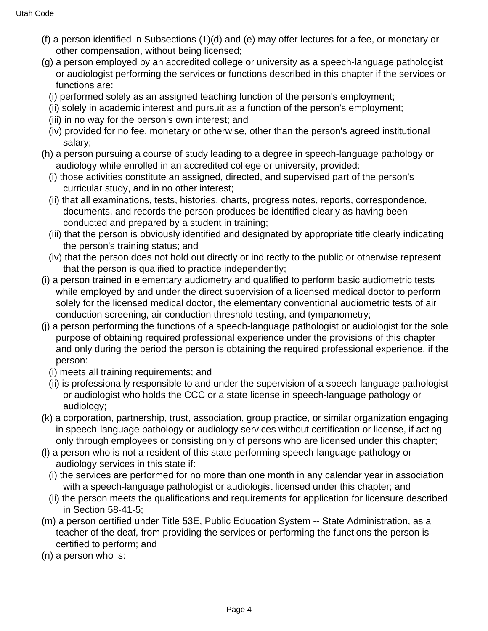- (f) a person identified in Subsections (1)(d) and (e) may offer lectures for a fee, or monetary or other compensation, without being licensed;
- (g) a person employed by an accredited college or university as a speech-language pathologist or audiologist performing the services or functions described in this chapter if the services or functions are:
	- (i) performed solely as an assigned teaching function of the person's employment;
	- (ii) solely in academic interest and pursuit as a function of the person's employment;
	- (iii) in no way for the person's own interest; and
	- (iv) provided for no fee, monetary or otherwise, other than the person's agreed institutional salary;
- (h) a person pursuing a course of study leading to a degree in speech-language pathology or audiology while enrolled in an accredited college or university, provided:
	- (i) those activities constitute an assigned, directed, and supervised part of the person's curricular study, and in no other interest;
	- (ii) that all examinations, tests, histories, charts, progress notes, reports, correspondence, documents, and records the person produces be identified clearly as having been conducted and prepared by a student in training;
	- (iii) that the person is obviously identified and designated by appropriate title clearly indicating the person's training status; and
	- (iv) that the person does not hold out directly or indirectly to the public or otherwise represent that the person is qualified to practice independently;
- (i) a person trained in elementary audiometry and qualified to perform basic audiometric tests while employed by and under the direct supervision of a licensed medical doctor to perform solely for the licensed medical doctor, the elementary conventional audiometric tests of air conduction screening, air conduction threshold testing, and tympanometry;
- (j) a person performing the functions of a speech-language pathologist or audiologist for the sole purpose of obtaining required professional experience under the provisions of this chapter and only during the period the person is obtaining the required professional experience, if the person:
	- (i) meets all training requirements; and
	- (ii) is professionally responsible to and under the supervision of a speech-language pathologist or audiologist who holds the CCC or a state license in speech-language pathology or audiology;
- (k) a corporation, partnership, trust, association, group practice, or similar organization engaging in speech-language pathology or audiology services without certification or license, if acting only through employees or consisting only of persons who are licensed under this chapter;
- (l) a person who is not a resident of this state performing speech-language pathology or audiology services in this state if:
	- (i) the services are performed for no more than one month in any calendar year in association with a speech-language pathologist or audiologist licensed under this chapter; and
	- (ii) the person meets the qualifications and requirements for application for licensure described in Section 58-41-5;
- (m) a person certified under Title 53E, Public Education System -- State Administration, as a teacher of the deaf, from providing the services or performing the functions the person is certified to perform; and
- (n) a person who is: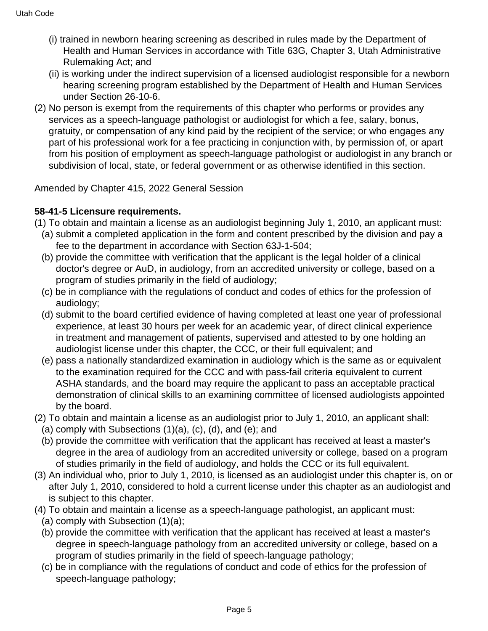- (i) trained in newborn hearing screening as described in rules made by the Department of Health and Human Services in accordance with Title 63G, Chapter 3, Utah Administrative Rulemaking Act; and
- (ii) is working under the indirect supervision of a licensed audiologist responsible for a newborn hearing screening program established by the Department of Health and Human Services under Section 26-10-6.
- (2) No person is exempt from the requirements of this chapter who performs or provides any services as a speech-language pathologist or audiologist for which a fee, salary, bonus, gratuity, or compensation of any kind paid by the recipient of the service; or who engages any part of his professional work for a fee practicing in conjunction with, by permission of, or apart from his position of employment as speech-language pathologist or audiologist in any branch or subdivision of local, state, or federal government or as otherwise identified in this section.

Amended by Chapter 415, 2022 General Session

# **58-41-5 Licensure requirements.**

- (1) To obtain and maintain a license as an audiologist beginning July 1, 2010, an applicant must:
	- (a) submit a completed application in the form and content prescribed by the division and pay a fee to the department in accordance with Section 63J-1-504;
	- (b) provide the committee with verification that the applicant is the legal holder of a clinical doctor's degree or AuD, in audiology, from an accredited university or college, based on a program of studies primarily in the field of audiology;
	- (c) be in compliance with the regulations of conduct and codes of ethics for the profession of audiology;
	- (d) submit to the board certified evidence of having completed at least one year of professional experience, at least 30 hours per week for an academic year, of direct clinical experience in treatment and management of patients, supervised and attested to by one holding an audiologist license under this chapter, the CCC, or their full equivalent; and
	- (e) pass a nationally standardized examination in audiology which is the same as or equivalent to the examination required for the CCC and with pass-fail criteria equivalent to current ASHA standards, and the board may require the applicant to pass an acceptable practical demonstration of clinical skills to an examining committee of licensed audiologists appointed by the board.
- (2) To obtain and maintain a license as an audiologist prior to July 1, 2010, an applicant shall:
	- (a) comply with Subsections  $(1)(a)$ ,  $(c)$ ,  $(d)$ , and  $(e)$ ; and
	- (b) provide the committee with verification that the applicant has received at least a master's degree in the area of audiology from an accredited university or college, based on a program of studies primarily in the field of audiology, and holds the CCC or its full equivalent.
- (3) An individual who, prior to July 1, 2010, is licensed as an audiologist under this chapter is, on or after July 1, 2010, considered to hold a current license under this chapter as an audiologist and is subject to this chapter.
- (4) To obtain and maintain a license as a speech-language pathologist, an applicant must:
- (a) comply with Subsection (1)(a);
- (b) provide the committee with verification that the applicant has received at least a master's degree in speech-language pathology from an accredited university or college, based on a program of studies primarily in the field of speech-language pathology;
- (c) be in compliance with the regulations of conduct and code of ethics for the profession of speech-language pathology;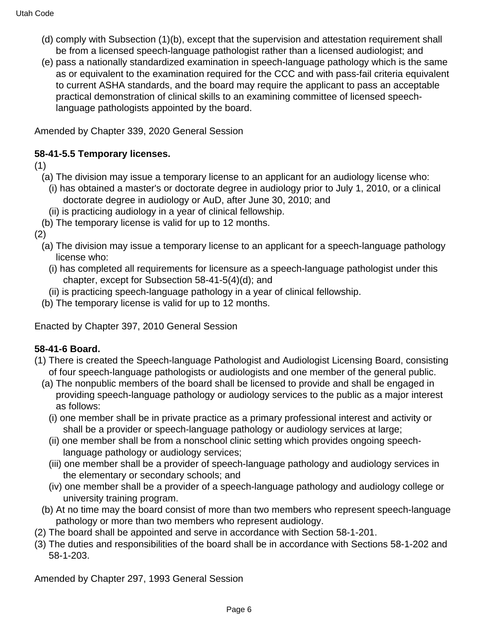- (d) comply with Subsection (1)(b), except that the supervision and attestation requirement shall be from a licensed speech-language pathologist rather than a licensed audiologist; and
- (e) pass a nationally standardized examination in speech-language pathology which is the same as or equivalent to the examination required for the CCC and with pass-fail criteria equivalent to current ASHA standards, and the board may require the applicant to pass an acceptable practical demonstration of clinical skills to an examining committee of licensed speechlanguage pathologists appointed by the board.

Amended by Chapter 339, 2020 General Session

# **58-41-5.5 Temporary licenses.**

(1)

- (a) The division may issue a temporary license to an applicant for an audiology license who:
	- (i) has obtained a master's or doctorate degree in audiology prior to July 1, 2010, or a clinical doctorate degree in audiology or AuD, after June 30, 2010; and
	- (ii) is practicing audiology in a year of clinical fellowship.
- (b) The temporary license is valid for up to 12 months.

(2)

- (a) The division may issue a temporary license to an applicant for a speech-language pathology license who:
	- (i) has completed all requirements for licensure as a speech-language pathologist under this chapter, except for Subsection 58-41-5(4)(d); and
	- (ii) is practicing speech-language pathology in a year of clinical fellowship.
- (b) The temporary license is valid for up to 12 months.

Enacted by Chapter 397, 2010 General Session

# **58-41-6 Board.**

- (1) There is created the Speech-language Pathologist and Audiologist Licensing Board, consisting of four speech-language pathologists or audiologists and one member of the general public.
	- (a) The nonpublic members of the board shall be licensed to provide and shall be engaged in providing speech-language pathology or audiology services to the public as a major interest as follows:
		- (i) one member shall be in private practice as a primary professional interest and activity or shall be a provider or speech-language pathology or audiology services at large;
		- (ii) one member shall be from a nonschool clinic setting which provides ongoing speechlanguage pathology or audiology services;
		- (iii) one member shall be a provider of speech-language pathology and audiology services in the elementary or secondary schools; and
		- (iv) one member shall be a provider of a speech-language pathology and audiology college or university training program.
	- (b) At no time may the board consist of more than two members who represent speech-language pathology or more than two members who represent audiology.
- (2) The board shall be appointed and serve in accordance with Section 58-1-201.
- (3) The duties and responsibilities of the board shall be in accordance with Sections 58-1-202 and 58-1-203.

Amended by Chapter 297, 1993 General Session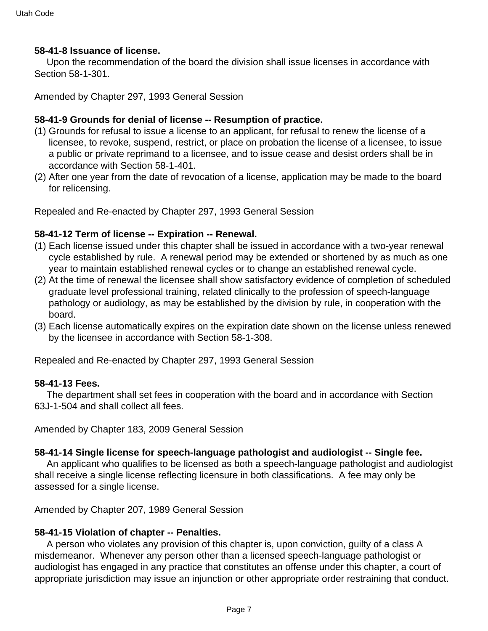#### **58-41-8 Issuance of license.**

 Upon the recommendation of the board the division shall issue licenses in accordance with Section 58-1-301.

Amended by Chapter 297, 1993 General Session

### **58-41-9 Grounds for denial of license -- Resumption of practice.**

- (1) Grounds for refusal to issue a license to an applicant, for refusal to renew the license of a licensee, to revoke, suspend, restrict, or place on probation the license of a licensee, to issue a public or private reprimand to a licensee, and to issue cease and desist orders shall be in accordance with Section 58-1-401.
- (2) After one year from the date of revocation of a license, application may be made to the board for relicensing.

Repealed and Re-enacted by Chapter 297, 1993 General Session

# **58-41-12 Term of license -- Expiration -- Renewal.**

- (1) Each license issued under this chapter shall be issued in accordance with a two-year renewal cycle established by rule. A renewal period may be extended or shortened by as much as one year to maintain established renewal cycles or to change an established renewal cycle.
- (2) At the time of renewal the licensee shall show satisfactory evidence of completion of scheduled graduate level professional training, related clinically to the profession of speech-language pathology or audiology, as may be established by the division by rule, in cooperation with the board.
- (3) Each license automatically expires on the expiration date shown on the license unless renewed by the licensee in accordance with Section 58-1-308.

Repealed and Re-enacted by Chapter 297, 1993 General Session

#### **58-41-13 Fees.**

 The department shall set fees in cooperation with the board and in accordance with Section 63J-1-504 and shall collect all fees.

Amended by Chapter 183, 2009 General Session

# **58-41-14 Single license for speech-language pathologist and audiologist -- Single fee.**

 An applicant who qualifies to be licensed as both a speech-language pathologist and audiologist shall receive a single license reflecting licensure in both classifications. A fee may only be assessed for a single license.

Amended by Chapter 207, 1989 General Session

# **58-41-15 Violation of chapter -- Penalties.**

 A person who violates any provision of this chapter is, upon conviction, guilty of a class A misdemeanor. Whenever any person other than a licensed speech-language pathologist or audiologist has engaged in any practice that constitutes an offense under this chapter, a court of appropriate jurisdiction may issue an injunction or other appropriate order restraining that conduct.